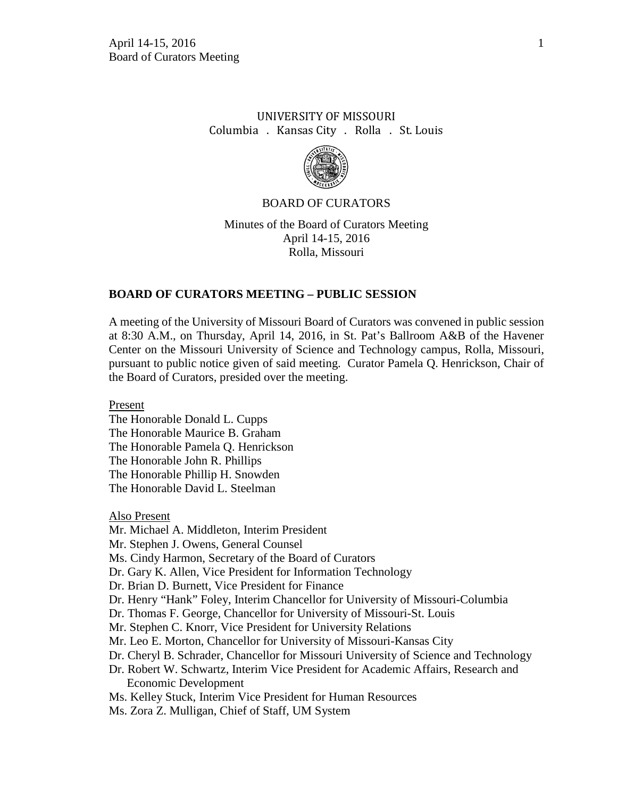# UNIVERSITY OF MISSOURI Columbia . Kansas City . Rolla . St. Louis



## BOARD OF CURATORS

Minutes of the Board of Curators Meeting April 14-15, 2016 Rolla, Missouri

## **BOARD OF CURATORS MEETING – PUBLIC SESSION**

A meeting of the University of Missouri Board of Curators was convened in public session at 8:30 A.M., on Thursday, April 14, 2016, in St. Pat's Ballroom A&B of the Havener Center on the Missouri University of Science and Technology campus, Rolla, Missouri, pursuant to public notice given of said meeting. Curator Pamela Q. Henrickson, Chair of the Board of Curators, presided over the meeting.

Present

The Honorable Donald L. Cupps The Honorable Maurice B. Graham The Honorable Pamela Q. Henrickson The Honorable John R. Phillips The Honorable Phillip H. Snowden The Honorable David L. Steelman

Also Present

Mr. Michael A. Middleton, Interim President

Mr. Stephen J. Owens, General Counsel

Ms. Cindy Harmon, Secretary of the Board of Curators

Dr. Gary K. Allen, Vice President for Information Technology

Dr. Brian D. Burnett, Vice President for Finance

Dr. Henry "Hank" Foley, Interim Chancellor for University of Missouri-Columbia

Dr. Thomas F. George, Chancellor for University of Missouri-St. Louis

Mr. Stephen C. Knorr, Vice President for University Relations

Mr. Leo E. Morton, Chancellor for University of Missouri-Kansas City

- Dr. Cheryl B. Schrader, Chancellor for Missouri University of Science and Technology
- Dr. Robert W. Schwartz, Interim Vice President for Academic Affairs, Research and Economic Development
- Ms. Kelley Stuck, Interim Vice President for Human Resources
- Ms. Zora Z. Mulligan, Chief of Staff, UM System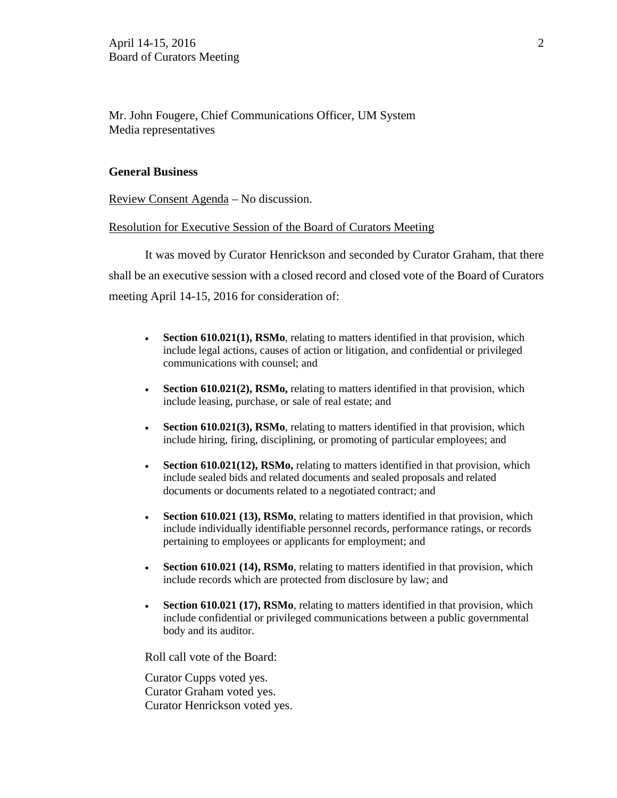Mr. John Fougere, Chief Communications Officer, UM System Media representatives

#### **General Business**

Review Consent Agenda – No discussion.

## Resolution for Executive Session of the Board of Curators Meeting

It was moved by Curator Henrickson and seconded by Curator Graham, that there shall be an executive session with a closed record and closed vote of the Board of Curators meeting April 14-15, 2016 for consideration of:

- **Section 610.021(1), RSMo**, relating to matters identified in that provision, which include legal actions, causes of action or litigation, and confidential or privileged communications with counsel; and
- **Section 610.021(2), RSMo,** relating to matters identified in that provision, which include leasing, purchase, or sale of real estate; and
- **Section 610.021(3), RSMo**, relating to matters identified in that provision, which include hiring, firing, disciplining, or promoting of particular employees; and
- **Section 610.021(12), RSMo,** relating to matters identified in that provision, which include sealed bids and related documents and sealed proposals and related documents or documents related to a negotiated contract; and
- **Section 610.021 (13), RSMo**, relating to matters identified in that provision, which include individually identifiable personnel records, performance ratings, or records pertaining to employees or applicants for employment; and
- **Section 610.021 (14), RSMo**, relating to matters identified in that provision, which include records which are protected from disclosure by law; and
- **Section 610.021 (17), RSMo**, relating to matters identified in that provision, which include confidential or privileged communications between a public governmental body and its auditor.

Roll call vote of the Board:

Curator Cupps voted yes. Curator Graham voted yes. Curator Henrickson voted yes.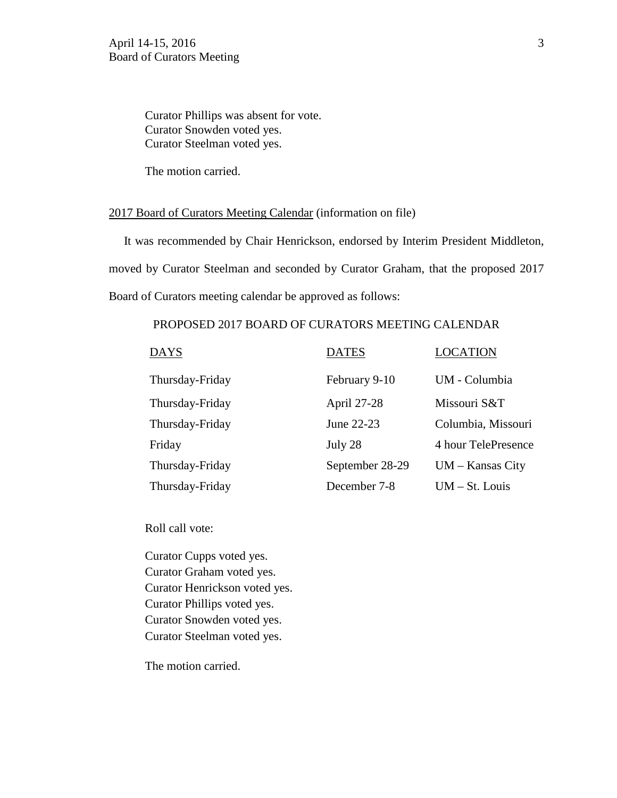Curator Phillips was absent for vote. Curator Snowden voted yes. Curator Steelman voted yes.

The motion carried.

#### 2017 Board of Curators Meeting Calendar (information on file)

 It was recommended by Chair Henrickson, endorsed by Interim President Middleton, moved by Curator Steelman and seconded by Curator Graham, that the proposed 2017 Board of Curators meeting calendar be approved as follows:

## PROPOSED 2017 BOARD OF CURATORS MEETING CALENDAR

| <b>DAYS</b>     | <b>DATES</b>    | <b>LOCATION</b>     |
|-----------------|-----------------|---------------------|
| Thursday-Friday | February 9-10   | UM - Columbia       |
| Thursday-Friday | April 27-28     | Missouri S&T        |
| Thursday-Friday | June 22-23      | Columbia, Missouri  |
| Friday          | July 28         | 4 hour TelePresence |
| Thursday-Friday | September 28-29 | $UM - Kansas City$  |
| Thursday-Friday | December 7-8    | $UM - St. Louis$    |

Roll call vote:

Curator Cupps voted yes. Curator Graham voted yes. Curator Henrickson voted yes. Curator Phillips voted yes. Curator Snowden voted yes. Curator Steelman voted yes.

The motion carried.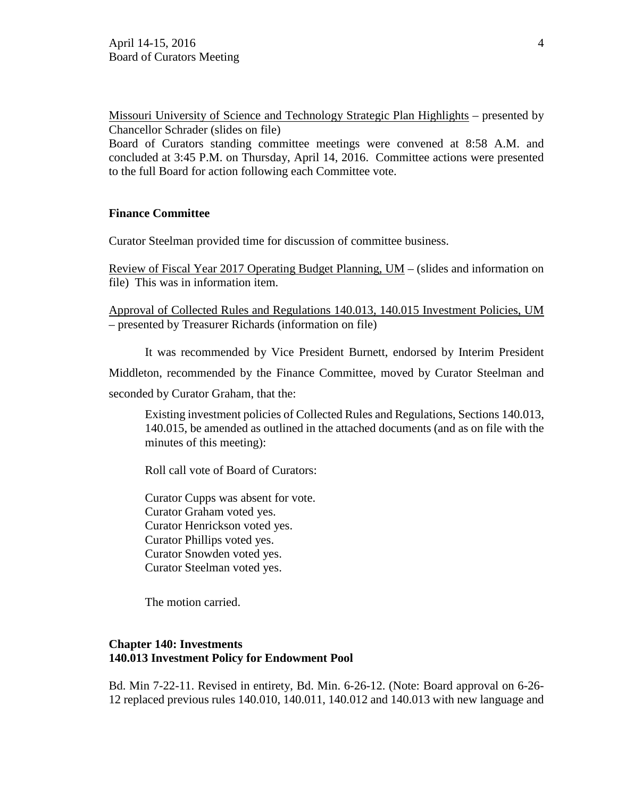Missouri University of Science and Technology Strategic Plan Highlights – presented by Chancellor Schrader (slides on file)

Board of Curators standing committee meetings were convened at 8:58 A.M. and concluded at 3:45 P.M. on Thursday, April 14, 2016. Committee actions were presented to the full Board for action following each Committee vote.

## **Finance Committee**

Curator Steelman provided time for discussion of committee business.

Review of Fiscal Year 2017 Operating Budget Planning, UM – (slides and information on file) This was in information item.

Approval of Collected Rules and Regulations 140.013, 140.015 Investment Policies, UM – presented by Treasurer Richards (information on file)

It was recommended by Vice President Burnett, endorsed by Interim President

Middleton, recommended by the Finance Committee, moved by Curator Steelman and

seconded by Curator Graham, that the:

Existing investment policies of Collected Rules and Regulations, Sections 140.013, 140.015, be amended as outlined in the attached documents (and as on file with the minutes of this meeting):

Roll call vote of Board of Curators:

Curator Cupps was absent for vote. Curator Graham voted yes. Curator Henrickson voted yes. Curator Phillips voted yes. Curator Snowden voted yes. Curator Steelman voted yes.

The motion carried.

## **Chapter 140: Investments 140.013 Investment Policy for Endowment Pool**

Bd. Min 7-22-11. Revised in entirety, Bd. Min. 6-26-12. (Note: Board approval on 6-26- 12 replaced previous rules 140.010, 140.011, 140.012 and 140.013 with new language and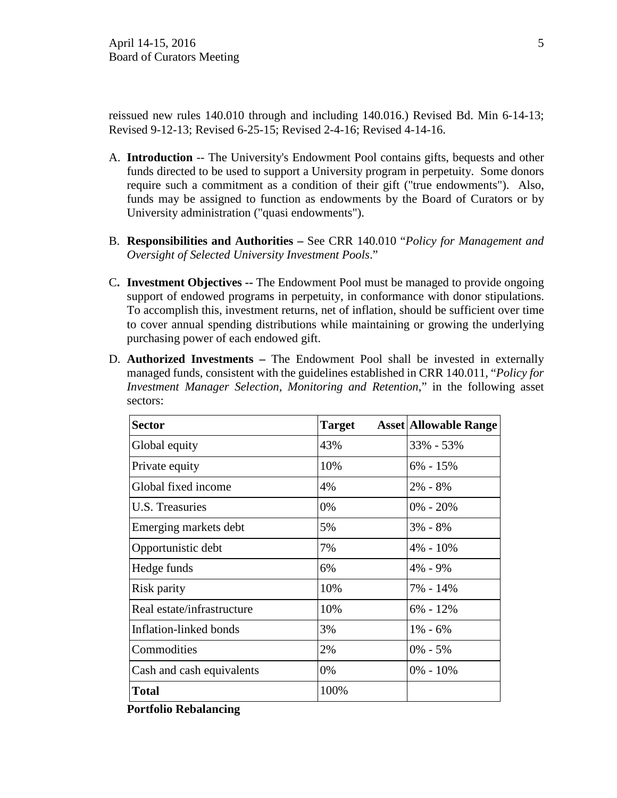reissued new rules 140.010 through and including 140.016.) Revised Bd. Min 6-14-13; Revised 9-12-13; Revised 6-25-15; Revised 2-4-16; Revised 4-14-16.

- A. **Introduction** -- The University's Endowment Pool contains gifts, bequests and other funds directed to be used to support a University program in perpetuity. Some donors require such a commitment as a condition of their gift ("true endowments"). Also, funds may be assigned to function as endowments by the Board of Curators or by University administration ("quasi endowments").
- B. **Responsibilities and Authorities** See CRR 140.010 "*Policy for Management and Oversight of Selected University Investment Pools*."
- C**. Investment Objectives --** The Endowment Pool must be managed to provide ongoing support of endowed programs in perpetuity, in conformance with donor stipulations. To accomplish this, investment returns, net of inflation, should be sufficient over time to cover annual spending distributions while maintaining or growing the underlying purchasing power of each endowed gift.
- D. **Authorized Investments** The Endowment Pool shall be invested in externally managed funds, consistent with the guidelines established in CRR 140.011, "*Policy for Investment Manager Selection, Monitoring and Retention*," in the following asset sectors:

| <b>Sector</b>              | <b>Target</b> | <b>Asset Allowable Range</b> |
|----------------------------|---------------|------------------------------|
| Global equity              | 43%           | 33% - 53%                    |
| Private equity             | 10%           | $6\% - 15\%$                 |
| Global fixed income        | 4%            | $2\% - 8\%$                  |
| U.S. Treasuries            | 0%            | $0\% - 20\%$                 |
| Emerging markets debt      | 5%            | $3\% - 8\%$                  |
| Opportunistic debt         | 7%            | $4\% - 10\%$                 |
| Hedge funds                | 6%            | $4\% - 9\%$                  |
| Risk parity                | 10%           | 7% - 14%                     |
| Real estate/infrastructure | 10%           | $6\% - 12\%$                 |
| Inflation-linked bonds     | 3%            | $1\% - 6\%$                  |
| Commodities                | 2%            | $0\% - 5\%$                  |
| Cash and cash equivalents  | 0%            | $0\% - 10\%$                 |
| <b>Total</b>               | 100%          |                              |

**Portfolio Rebalancing**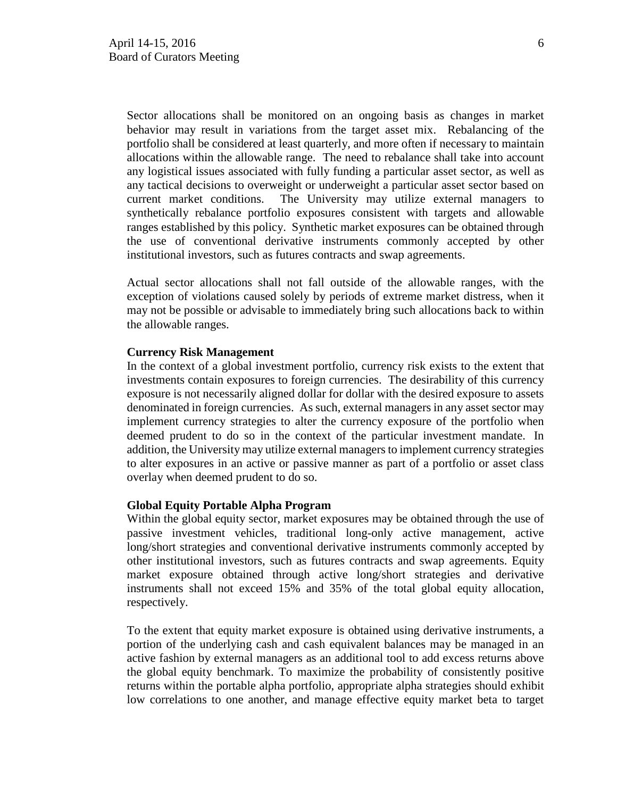Sector allocations shall be monitored on an ongoing basis as changes in market behavior may result in variations from the target asset mix. Rebalancing of the portfolio shall be considered at least quarterly, and more often if necessary to maintain allocations within the allowable range. The need to rebalance shall take into account any logistical issues associated with fully funding a particular asset sector, as well as any tactical decisions to overweight or underweight a particular asset sector based on current market conditions. The University may utilize external managers to synthetically rebalance portfolio exposures consistent with targets and allowable ranges established by this policy. Synthetic market exposures can be obtained through the use of conventional derivative instruments commonly accepted by other institutional investors, such as futures contracts and swap agreements.

Actual sector allocations shall not fall outside of the allowable ranges, with the exception of violations caused solely by periods of extreme market distress, when it may not be possible or advisable to immediately bring such allocations back to within the allowable ranges.

#### **Currency Risk Management**

In the context of a global investment portfolio, currency risk exists to the extent that investments contain exposures to foreign currencies. The desirability of this currency exposure is not necessarily aligned dollar for dollar with the desired exposure to assets denominated in foreign currencies. As such, external managers in any asset sector may implement currency strategies to alter the currency exposure of the portfolio when deemed prudent to do so in the context of the particular investment mandate. In addition, the University may utilize external managers to implement currency strategies to alter exposures in an active or passive manner as part of a portfolio or asset class overlay when deemed prudent to do so.

#### **Global Equity Portable Alpha Program**

Within the global equity sector, market exposures may be obtained through the use of passive investment vehicles, traditional long-only active management, active long/short strategies and conventional derivative instruments commonly accepted by other institutional investors, such as futures contracts and swap agreements. Equity market exposure obtained through active long/short strategies and derivative instruments shall not exceed 15% and 35% of the total global equity allocation, respectively.

To the extent that equity market exposure is obtained using derivative instruments, a portion of the underlying cash and cash equivalent balances may be managed in an active fashion by external managers as an additional tool to add excess returns above the global equity benchmark. To maximize the probability of consistently positive returns within the portable alpha portfolio, appropriate alpha strategies should exhibit low correlations to one another, and manage effective equity market beta to target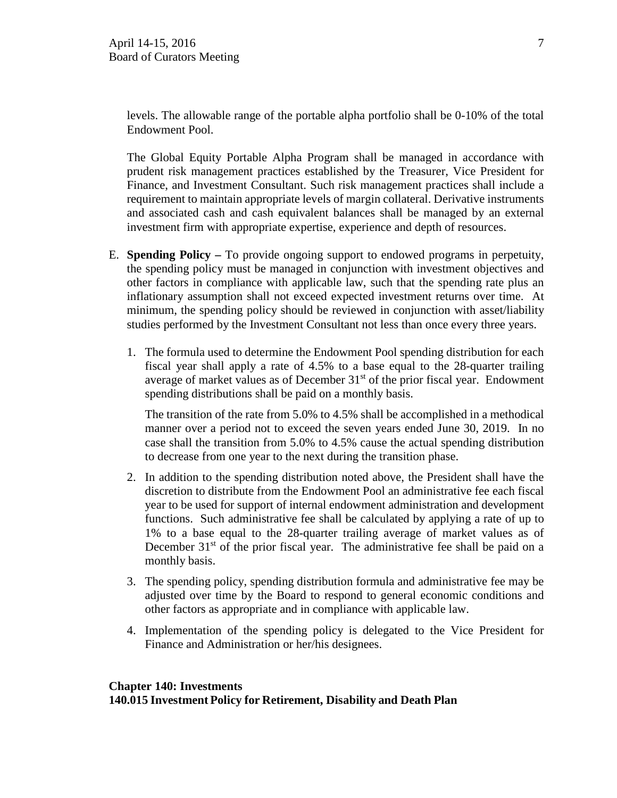levels. The allowable range of the portable alpha portfolio shall be 0-10% of the total Endowment Pool.

The Global Equity Portable Alpha Program shall be managed in accordance with prudent risk management practices established by the Treasurer, Vice President for Finance, and Investment Consultant. Such risk management practices shall include a requirement to maintain appropriate levels of margin collateral. Derivative instruments and associated cash and cash equivalent balances shall be managed by an external investment firm with appropriate expertise, experience and depth of resources.

- E. **Spending Policy** To provide ongoing support to endowed programs in perpetuity, the spending policy must be managed in conjunction with investment objectives and other factors in compliance with applicable law, such that the spending rate plus an inflationary assumption shall not exceed expected investment returns over time. At minimum, the spending policy should be reviewed in conjunction with asset/liability studies performed by the Investment Consultant not less than once every three years.
	- 1. The formula used to determine the Endowment Pool spending distribution for each fiscal year shall apply a rate of 4.5% to a base equal to the 28-quarter trailing average of market values as of December  $31<sup>st</sup>$  of the prior fiscal year. Endowment spending distributions shall be paid on a monthly basis.

The transition of the rate from 5.0% to 4.5% shall be accomplished in a methodical manner over a period not to exceed the seven years ended June 30, 2019. In no case shall the transition from 5.0% to 4.5% cause the actual spending distribution to decrease from one year to the next during the transition phase.

- 2. In addition to the spending distribution noted above, the President shall have the discretion to distribute from the Endowment Pool an administrative fee each fiscal year to be used for support of internal endowment administration and development functions. Such administrative fee shall be calculated by applying a rate of up to 1% to a base equal to the 28-quarter trailing average of market values as of December  $31<sup>st</sup>$  of the prior fiscal year. The administrative fee shall be paid on a monthly basis.
- 3. The spending policy, spending distribution formula and administrative fee may be adjusted over time by the Board to respond to general economic conditions and other factors as appropriate and in compliance with applicable law.
- 4. Implementation of the spending policy is delegated to the Vice President for Finance and Administration or her/his designees.

#### **Chapter 140: Investments**

**140.015 Investment Policy for Retirement, Disability and Death Plan**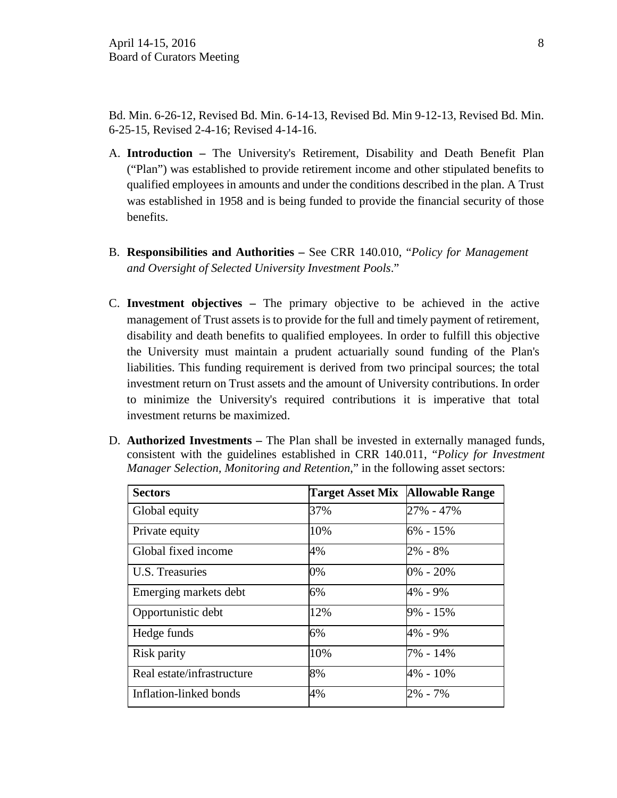Bd. Min. 6-26-12, Revised Bd. Min. 6-14-13, Revised Bd. Min 9-12-13, Revised Bd. Min. 6-25-15, Revised 2-4-16; Revised 4-14-16.

- A. **Introduction** The University's Retirement, Disability and Death Benefit Plan ("Plan") was established to provide retirement income and other stipulated benefits to qualified employees in amounts and under the conditions described in the plan. A Trust was established in 1958 and is being funded to provide the financial security of those benefits.
- B. **Responsibilities and Authorities** See CRR 140.010, "*Policy for Management and Oversight of Selected University Investment Pools*."
- C. **Investment objectives** The primary objective to be achieved in the active management of Trust assets is to provide for the full and timely payment of retirement, disability and death benefits to qualified employees. In order to fulfill this objective the University must maintain a prudent actuarially sound funding of the Plan's liabilities. This funding requirement is derived from two principal sources; the total investment return on Trust assets and the amount of University contributions. In order to minimize the University's required contributions it is imperative that total investment returns be maximized.
- D. **Authorized Investments** The Plan shall be invested in externally managed funds, consistent with the guidelines established in CRR 140.011, "*Policy for Investment Manager Selection, Monitoring and Retention*," in the following asset sectors:

| <b>Sectors</b>             | Target Asset Mix Allowable Range |              |
|----------------------------|----------------------------------|--------------|
| Global equity              | 37%                              | 27% - 47%    |
| Private equity             | 10%                              | $6\% - 15\%$ |
| Global fixed income        | 4%                               | $2\% - 8\%$  |
| U.S. Treasuries            | 0%                               | $0\% - 20\%$ |
| Emerging markets debt      | 6%                               | 4% - 9%      |
| Opportunistic debt         | 12%                              | $9\% - 15\%$ |
| Hedge funds                | 6%                               | 4% - 9%      |
| Risk parity                | 10%                              | 7% - 14%     |
| Real estate/infrastructure | 8%                               | 4% - 10%     |
| Inflation-linked bonds     | 4%                               | 2% - 7%      |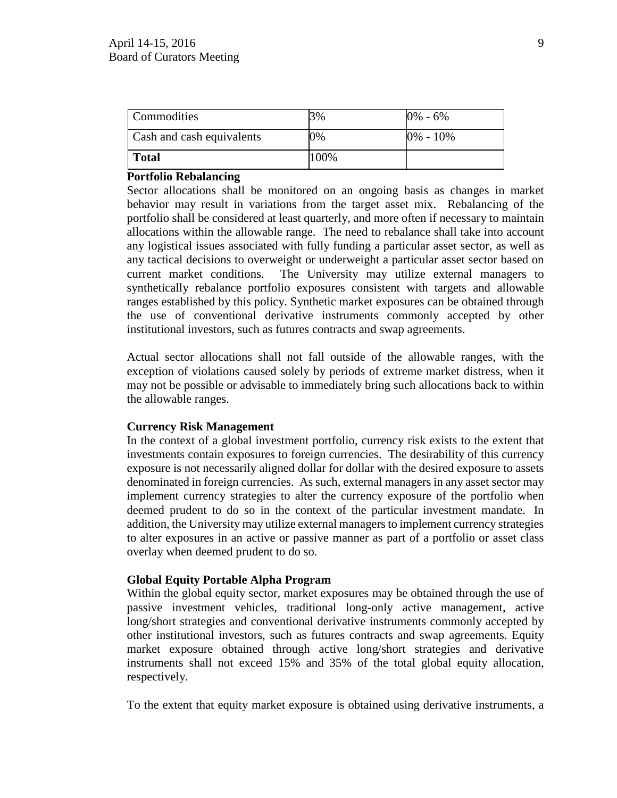| <b>Commodities</b>               | 3%   | $0\% - 6\%$  |
|----------------------------------|------|--------------|
| <b>Cash and cash equivalents</b> | 0%   | $0\% - 10\%$ |
| <b>Total</b>                     | 100% |              |

## **Portfolio Rebalancing**

Sector allocations shall be monitored on an ongoing basis as changes in market behavior may result in variations from the target asset mix. Rebalancing of the portfolio shall be considered at least quarterly, and more often if necessary to maintain allocations within the allowable range. The need to rebalance shall take into account any logistical issues associated with fully funding a particular asset sector, as well as any tactical decisions to overweight or underweight a particular asset sector based on current market conditions. The University may utilize external managers to synthetically rebalance portfolio exposures consistent with targets and allowable ranges established by this policy. Synthetic market exposures can be obtained through the use of conventional derivative instruments commonly accepted by other institutional investors, such as futures contracts and swap agreements.

Actual sector allocations shall not fall outside of the allowable ranges, with the exception of violations caused solely by periods of extreme market distress, when it may not be possible or advisable to immediately bring such allocations back to within the allowable ranges.

#### **Currency Risk Management**

In the context of a global investment portfolio, currency risk exists to the extent that investments contain exposures to foreign currencies. The desirability of this currency exposure is not necessarily aligned dollar for dollar with the desired exposure to assets denominated in foreign currencies. As such, external managers in any asset sector may implement currency strategies to alter the currency exposure of the portfolio when deemed prudent to do so in the context of the particular investment mandate. In addition, the University may utilize external managers to implement currency strategies to alter exposures in an active or passive manner as part of a portfolio or asset class overlay when deemed prudent to do so.

#### **Global Equity Portable Alpha Program**

Within the global equity sector, market exposures may be obtained through the use of passive investment vehicles, traditional long-only active management, active long/short strategies and conventional derivative instruments commonly accepted by other institutional investors, such as futures contracts and swap agreements. Equity market exposure obtained through active long/short strategies and derivative instruments shall not exceed 15% and 35% of the total global equity allocation, respectively.

To the extent that equity market exposure is obtained using derivative instruments, a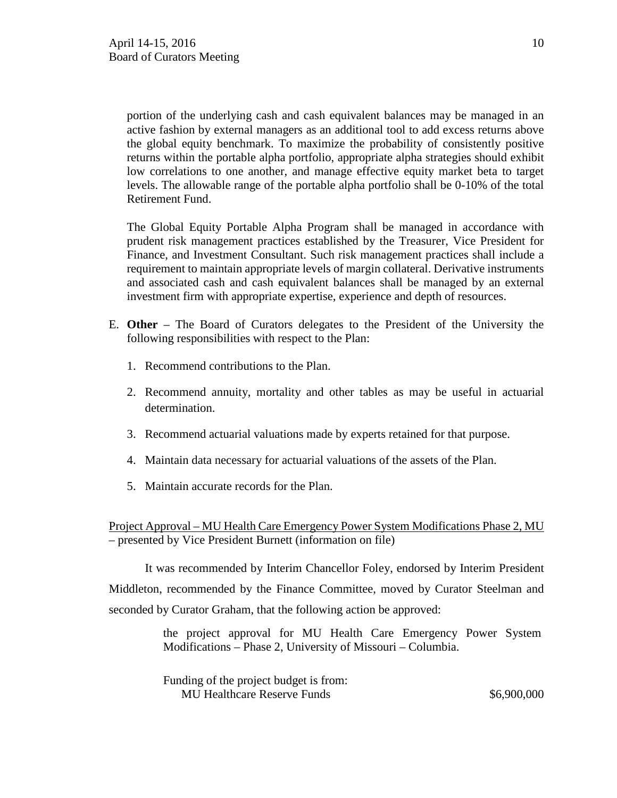portion of the underlying cash and cash equivalent balances may be managed in an active fashion by external managers as an additional tool to add excess returns above the global equity benchmark. To maximize the probability of consistently positive returns within the portable alpha portfolio, appropriate alpha strategies should exhibit low correlations to one another, and manage effective equity market beta to target levels. The allowable range of the portable alpha portfolio shall be 0-10% of the total Retirement Fund.

The Global Equity Portable Alpha Program shall be managed in accordance with prudent risk management practices established by the Treasurer, Vice President for Finance, and Investment Consultant. Such risk management practices shall include a requirement to maintain appropriate levels of margin collateral. Derivative instruments and associated cash and cash equivalent balances shall be managed by an external investment firm with appropriate expertise, experience and depth of resources.

- E. **Other** The Board of Curators delegates to the President of the University the following responsibilities with respect to the Plan:
	- 1. Recommend contributions to the Plan.
	- 2. Recommend annuity, mortality and other tables as may be useful in actuarial determination.
	- 3. Recommend actuarial valuations made by experts retained for that purpose.
	- 4. Maintain data necessary for actuarial valuations of the assets of the Plan.
	- 5. Maintain accurate records for the Plan.

Project Approval – MU Health Care Emergency Power System Modifications Phase 2, MU – presented by Vice President Burnett (information on file)

It was recommended by Interim Chancellor Foley, endorsed by Interim President Middleton, recommended by the Finance Committee, moved by Curator Steelman and seconded by Curator Graham, that the following action be approved:

> the project approval for MU Health Care Emergency Power System Modifications – Phase 2, University of Missouri – Columbia.

| Funding of the project budget is from: |             |
|----------------------------------------|-------------|
| <b>MU Healthcare Reserve Funds</b>     | \$6,900,000 |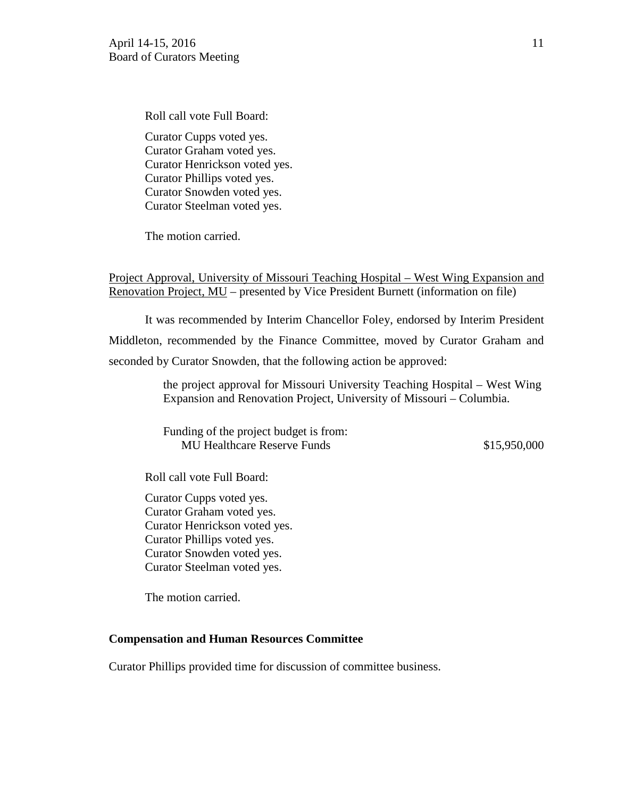Roll call vote Full Board: Curator Cupps voted yes. Curator Graham voted yes. Curator Henrickson voted yes. Curator Phillips voted yes. Curator Snowden voted yes. Curator Steelman voted yes.

The motion carried.

Project Approval, University of Missouri Teaching Hospital – West Wing Expansion and Renovation Project, MU – presented by Vice President Burnett (information on file)

It was recommended by Interim Chancellor Foley, endorsed by Interim President Middleton, recommended by the Finance Committee, moved by Curator Graham and seconded by Curator Snowden, that the following action be approved:

> the project approval for Missouri University Teaching Hospital – West Wing Expansion and Renovation Project, University of Missouri – Columbia.

> Funding of the project budget is from: MU Healthcare Reserve Funds  $$15,950,000$

Roll call vote Full Board:

Curator Cupps voted yes. Curator Graham voted yes. Curator Henrickson voted yes. Curator Phillips voted yes. Curator Snowden voted yes. Curator Steelman voted yes.

The motion carried.

#### **Compensation and Human Resources Committee**

Curator Phillips provided time for discussion of committee business.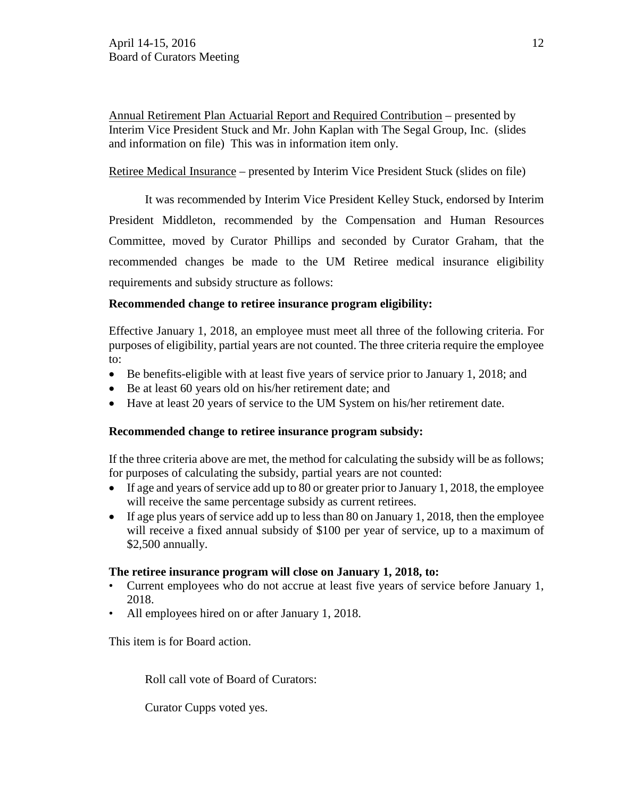Annual Retirement Plan Actuarial Report and Required Contribution – presented by Interim Vice President Stuck and Mr. John Kaplan with The Segal Group, Inc. (slides and information on file) This was in information item only.

# Retiree Medical Insurance – presented by Interim Vice President Stuck (slides on file)

It was recommended by Interim Vice President Kelley Stuck, endorsed by Interim President Middleton, recommended by the Compensation and Human Resources Committee, moved by Curator Phillips and seconded by Curator Graham, that the recommended changes be made to the UM Retiree medical insurance eligibility requirements and subsidy structure as follows:

# **Recommended change to retiree insurance program eligibility:**

Effective January 1, 2018, an employee must meet all three of the following criteria. For purposes of eligibility, partial years are not counted. The three criteria require the employee to:

- Be benefits-eligible with at least five years of service prior to January 1, 2018; and
- Be at least 60 years old on his/her retirement date; and
- Have at least 20 years of service to the UM System on his/her retirement date.

# **Recommended change to retiree insurance program subsidy:**

If the three criteria above are met, the method for calculating the subsidy will be as follows; for purposes of calculating the subsidy, partial years are not counted:

- If age and years of service add up to 80 or greater prior to January 1, 2018, the employee will receive the same percentage subsidy as current retirees.
- If age plus years of service add up to less than 80 on January 1, 2018, then the employee will receive a fixed annual subsidy of \$100 per year of service, up to a maximum of \$2,500 annually.

# **The retiree insurance program will close on January 1, 2018, to:**

- Current employees who do not accrue at least five years of service before January 1, 2018.
- All employees hired on or after January 1, 2018.

This item is for Board action.

Roll call vote of Board of Curators:

Curator Cupps voted yes.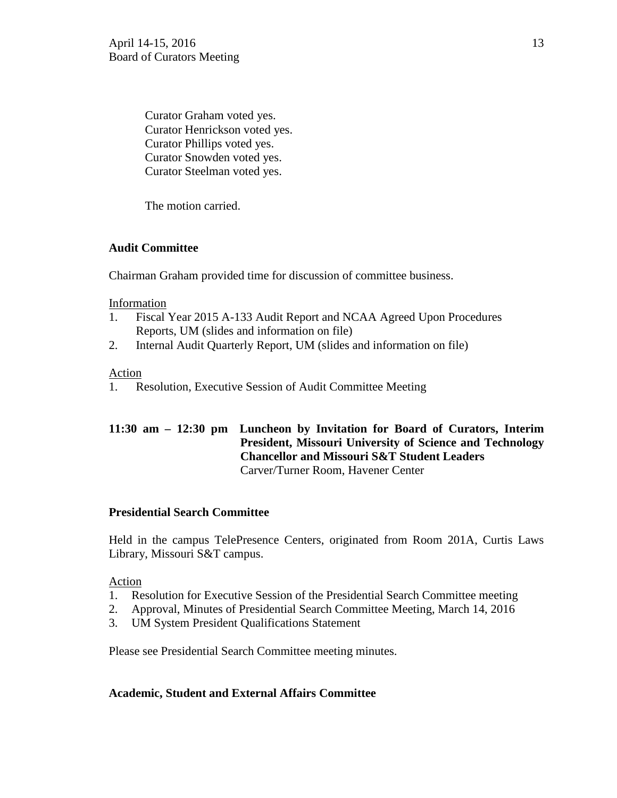Curator Graham voted yes. Curator Henrickson voted yes. Curator Phillips voted yes. Curator Snowden voted yes. Curator Steelman voted yes.

The motion carried.

# **Audit Committee**

Chairman Graham provided time for discussion of committee business.

#### **Information**

- 1. Fiscal Year 2015 A-133 Audit Report and NCAA Agreed Upon Procedures Reports, UM (slides and information on file)
- 2. Internal Audit Quarterly Report, UM (slides and information on file)

# Action

1. Resolution, Executive Session of Audit Committee Meeting

# **11:30 am – 12:30 pm Luncheon by Invitation for Board of Curators, Interim President, Missouri University of Science and Technology Chancellor and Missouri S&T Student Leaders** Carver/Turner Room, Havener Center

# **Presidential Search Committee**

Held in the campus TelePresence Centers, originated from Room 201A, Curtis Laws Library, Missouri S&T campus.

# Action

- 1. Resolution for Executive Session of the Presidential Search Committee meeting
- 2. Approval, Minutes of Presidential Search Committee Meeting, March 14, 2016
- 3. UM System President Qualifications Statement

Please see Presidential Search Committee meeting minutes.

# **Academic, Student and External Affairs Committee**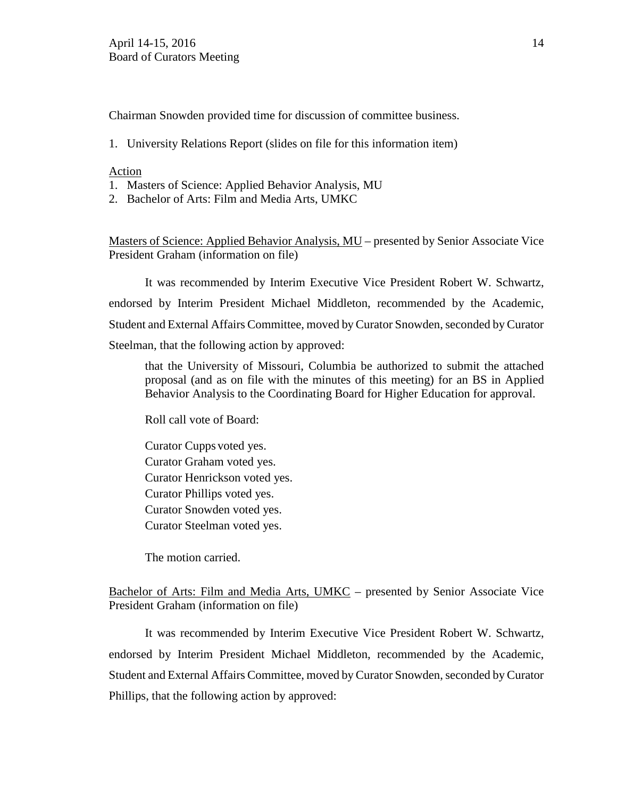Chairman Snowden provided time for discussion of committee business.

1. University Relations Report (slides on file for this information item)

#### Action

- 1. Masters of Science: Applied Behavior Analysis, MU
- 2. Bachelor of Arts: Film and Media Arts, UMKC

Masters of Science: Applied Behavior Analysis, MU – presented by Senior Associate Vice President Graham (information on file)

It was recommended by Interim Executive Vice President Robert W. Schwartz, endorsed by Interim President Michael Middleton, recommended by the Academic, Student and External Affairs Committee, moved by Curator Snowden, seconded by Curator Steelman, that the following action by approved:

that the University of Missouri, Columbia be authorized to submit the attached proposal (and as on file with the minutes of this meeting) for an BS in Applied Behavior Analysis to the Coordinating Board for Higher Education for approval.

Roll call vote of Board:

Curator Cupps voted yes. Curator Graham voted yes. Curator Henrickson voted yes. Curator Phillips voted yes. Curator Snowden voted yes. Curator Steelman voted yes.

The motion carried.

Bachelor of Arts: Film and Media Arts, UMKC – presented by Senior Associate Vice President Graham (information on file)

It was recommended by Interim Executive Vice President Robert W. Schwartz, endorsed by Interim President Michael Middleton, recommended by the Academic, Student and External Affairs Committee, moved by Curator Snowden, seconded by Curator Phillips, that the following action by approved: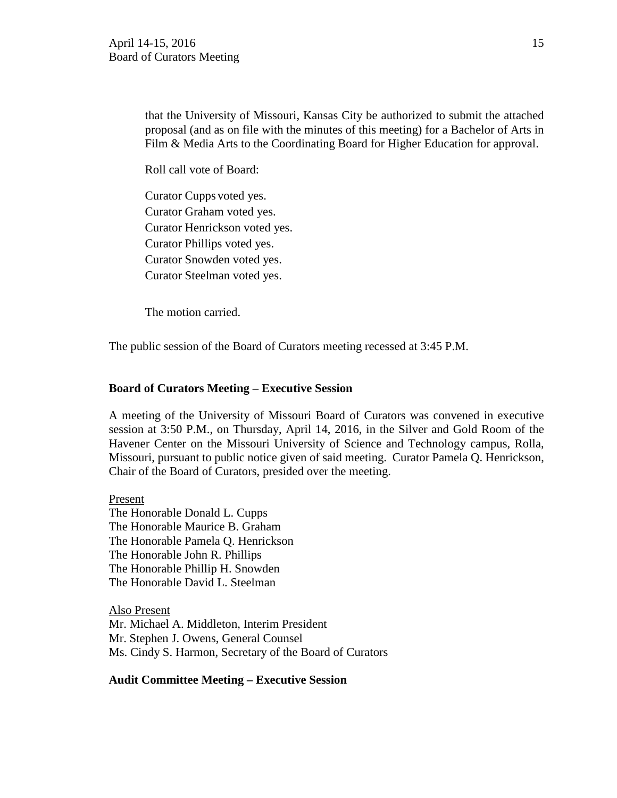that the University of Missouri, Kansas City be authorized to submit the attached proposal (and as on file with the minutes of this meeting) for a Bachelor of Arts in Film & Media Arts to the Coordinating Board for Higher Education for approval.

Roll call vote of Board:

Curator Cupps voted yes. Curator Graham voted yes. Curator Henrickson voted yes. Curator Phillips voted yes. Curator Snowden voted yes. Curator Steelman voted yes.

The motion carried.

The public session of the Board of Curators meeting recessed at 3:45 P.M.

## **Board of Curators Meeting – Executive Session**

A meeting of the University of Missouri Board of Curators was convened in executive session at 3:50 P.M., on Thursday, April 14, 2016, in the Silver and Gold Room of the Havener Center on the Missouri University of Science and Technology campus, Rolla, Missouri, pursuant to public notice given of said meeting. Curator Pamela Q. Henrickson, Chair of the Board of Curators, presided over the meeting.

#### Present

The Honorable Donald L. Cupps The Honorable Maurice B. Graham The Honorable Pamela Q. Henrickson The Honorable John R. Phillips The Honorable Phillip H. Snowden The Honorable David L. Steelman

Also Present Mr. Michael A. Middleton, Interim President Mr. Stephen J. Owens, General Counsel Ms. Cindy S. Harmon, Secretary of the Board of Curators

#### **Audit Committee Meeting – Executive Session**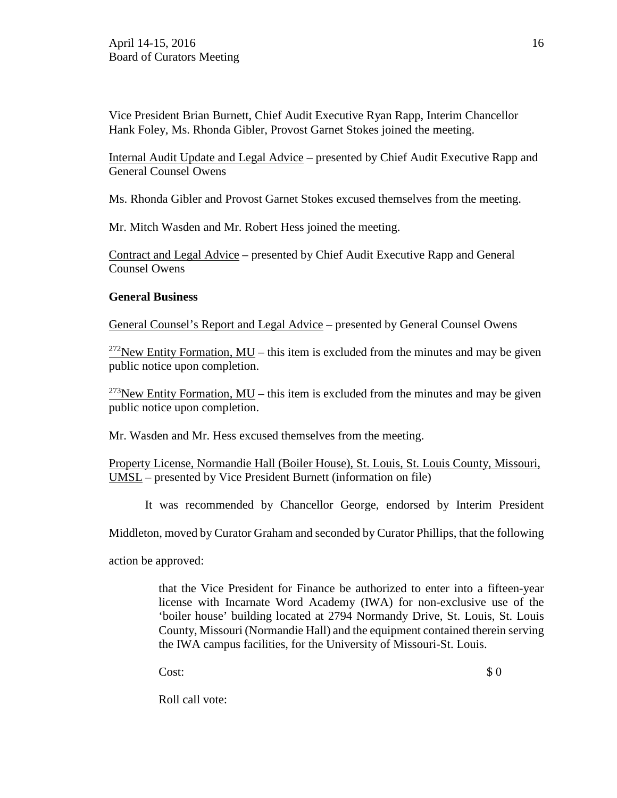Vice President Brian Burnett, Chief Audit Executive Ryan Rapp, Interim Chancellor Hank Foley, Ms. Rhonda Gibler, Provost Garnet Stokes joined the meeting.

Internal Audit Update and Legal Advice – presented by Chief Audit Executive Rapp and General Counsel Owens

Ms. Rhonda Gibler and Provost Garnet Stokes excused themselves from the meeting.

Mr. Mitch Wasden and Mr. Robert Hess joined the meeting.

Contract and Legal Advice – presented by Chief Audit Executive Rapp and General Counsel Owens

# **General Business**

General Counsel's Report and Legal Advice – presented by General Counsel Owens

 $272$ New Entity Formation, MU – this item is excluded from the minutes and may be given public notice upon completion.

<sup>273</sup>New Entity Formation, MU – this item is excluded from the minutes and may be given public notice upon completion.

Mr. Wasden and Mr. Hess excused themselves from the meeting.

Property License, Normandie Hall (Boiler House), St. Louis, St. Louis County, Missouri, UMSL – presented by Vice President Burnett (information on file)

It was recommended by Chancellor George, endorsed by Interim President

Middleton, moved by Curator Graham and seconded by Curator Phillips, that the following

action be approved:

that the Vice President for Finance be authorized to enter into a fifteen-year license with Incarnate Word Academy (IWA) for non-exclusive use of the 'boiler house' building located at 2794 Normandy Drive, St. Louis, St. Louis County, Missouri (Normandie Hall) and the equipment contained therein serving the IWA campus facilities, for the University of Missouri-St. Louis.

 $\cosh 3\theta$ 

Roll call vote: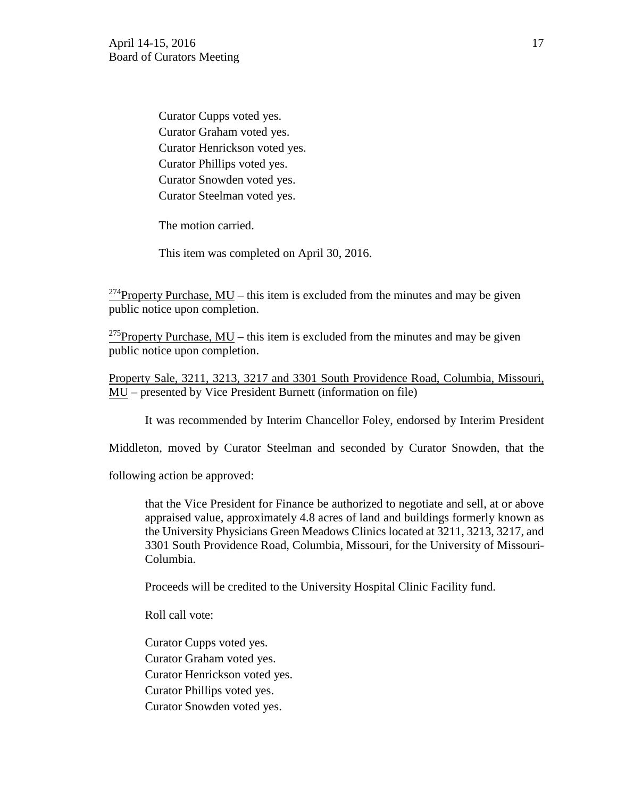Curator Cupps voted yes. Curator Graham voted yes. Curator Henrickson voted yes. Curator Phillips voted yes. Curator Snowden voted yes. Curator Steelman voted yes.

The motion carried.

This item was completed on April 30, 2016.

<sup>274</sup>Property Purchase, MU – this item is excluded from the minutes and may be given public notice upon completion.

<sup>275</sup>Property Purchase, MU – this item is excluded from the minutes and may be given public notice upon completion.

Property Sale, 3211, 3213, 3217 and 3301 South Providence Road, Columbia, Missouri, MU – presented by Vice President Burnett (information on file)

It was recommended by Interim Chancellor Foley, endorsed by Interim President

Middleton, moved by Curator Steelman and seconded by Curator Snowden, that the

following action be approved:

that the Vice President for Finance be authorized to negotiate and sell, at or above appraised value, approximately 4.8 acres of land and buildings formerly known as the University Physicians Green Meadows Clinics located at 3211, 3213, 3217, and 3301 South Providence Road, Columbia, Missouri, for the University of Missouri-Columbia.

Proceeds will be credited to the University Hospital Clinic Facility fund.

Roll call vote:

Curator Cupps voted yes. Curator Graham voted yes. Curator Henrickson voted yes. Curator Phillips voted yes. Curator Snowden voted yes.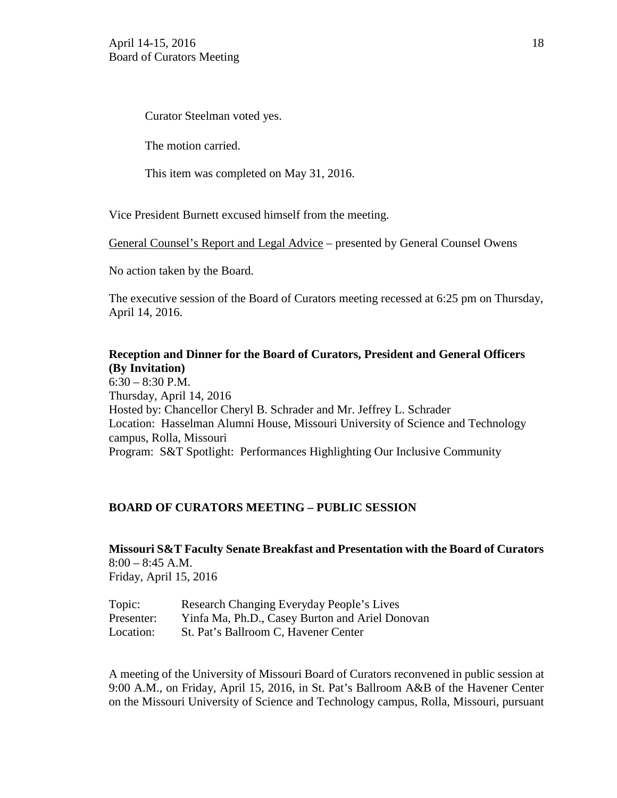Curator Steelman voted yes.

The motion carried.

This item was completed on May 31, 2016.

Vice President Burnett excused himself from the meeting.

General Counsel's Report and Legal Advice – presented by General Counsel Owens

No action taken by the Board.

The executive session of the Board of Curators meeting recessed at 6:25 pm on Thursday, April 14, 2016.

# **Reception and Dinner for the Board of Curators, President and General Officers (By Invitation)**

6:30 – 8:30 P.M. Thursday, April 14, 2016 Hosted by: Chancellor Cheryl B. Schrader and Mr. Jeffrey L. Schrader Location: Hasselman Alumni House, Missouri University of Science and Technology campus, Rolla, Missouri Program: S&T Spotlight: Performances Highlighting Our Inclusive Community

# **BOARD OF CURATORS MEETING – PUBLIC SESSION**

**Missouri S&T Faculty Senate Breakfast and Presentation with the Board of Curators** 8:00 – 8:45 A.M. Friday, April 15, 2016

| Topic:     | Research Changing Everyday People's Lives       |
|------------|-------------------------------------------------|
| Presenter: | Yinfa Ma, Ph.D., Casey Burton and Ariel Donovan |
| Location:  | St. Pat's Ballroom C, Havener Center            |

A meeting of the University of Missouri Board of Curators reconvened in public session at 9:00 A.M., on Friday, April 15, 2016, in St. Pat's Ballroom A&B of the Havener Center on the Missouri University of Science and Technology campus, Rolla, Missouri, pursuant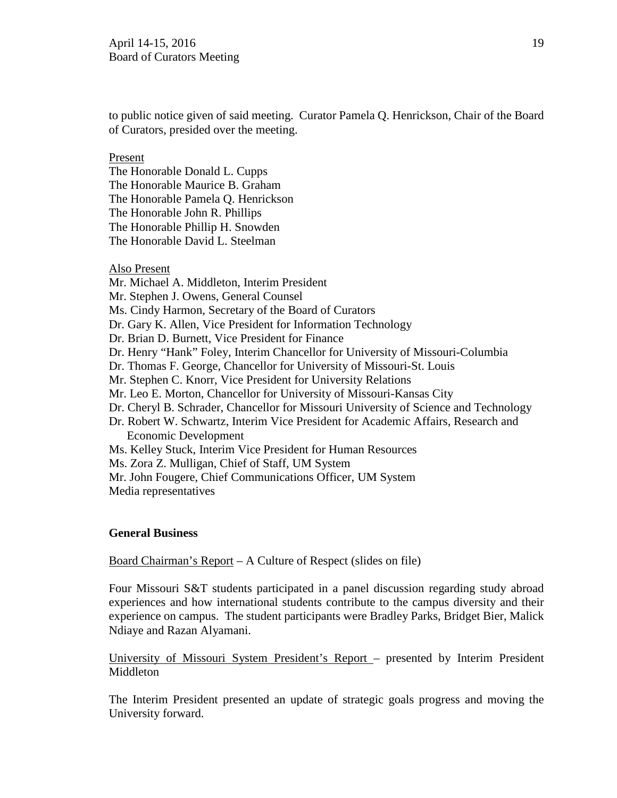to public notice given of said meeting. Curator Pamela Q. Henrickson, Chair of the Board of Curators, presided over the meeting.

Present

The Honorable Donald L. Cupps The Honorable Maurice B. Graham The Honorable Pamela Q. Henrickson The Honorable John R. Phillips The Honorable Phillip H. Snowden The Honorable David L. Steelman

Also Present

- Mr. Michael A. Middleton, Interim President
- Mr. Stephen J. Owens, General Counsel
- Ms. Cindy Harmon, Secretary of the Board of Curators
- Dr. Gary K. Allen, Vice President for Information Technology
- Dr. Brian D. Burnett, Vice President for Finance
- Dr. Henry "Hank" Foley, Interim Chancellor for University of Missouri-Columbia
- Dr. Thomas F. George, Chancellor for University of Missouri-St. Louis
- Mr. Stephen C. Knorr, Vice President for University Relations
- Mr. Leo E. Morton, Chancellor for University of Missouri-Kansas City
- Dr. Cheryl B. Schrader, Chancellor for Missouri University of Science and Technology
- Dr. Robert W. Schwartz, Interim Vice President for Academic Affairs, Research and Economic Development
- Ms. Kelley Stuck, Interim Vice President for Human Resources
- Ms. Zora Z. Mulligan, Chief of Staff, UM System
- Mr. John Fougere, Chief Communications Officer, UM System
- Media representatives

# **General Business**

Board Chairman's Report – A Culture of Respect (slides on file)

Four Missouri S&T students participated in a panel discussion regarding study abroad experiences and how international students contribute to the campus diversity and their experience on campus. The student participants were Bradley Parks, Bridget Bier, Malick Ndiaye and Razan Alyamani.

University of Missouri System President's Report – presented by Interim President Middleton

The Interim President presented an update of strategic goals progress and moving the University forward.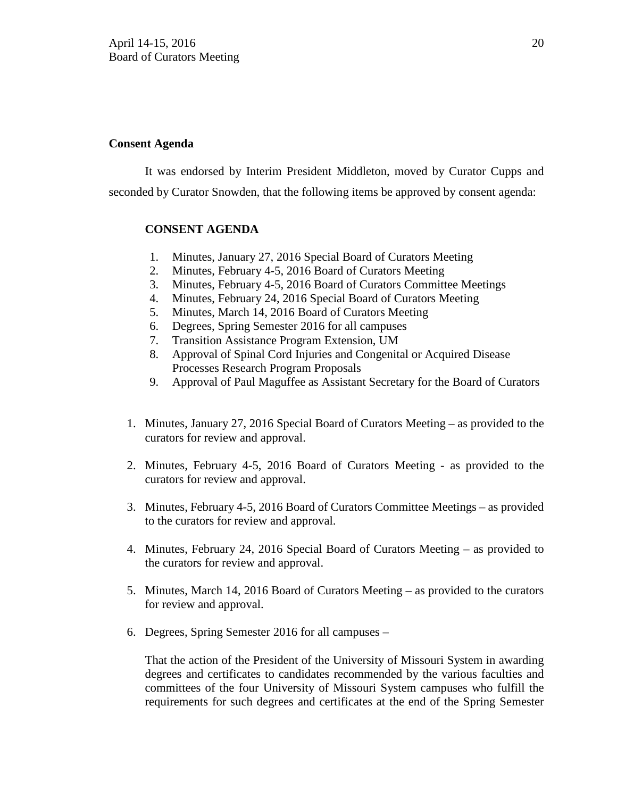# **Consent Agenda**

It was endorsed by Interim President Middleton, moved by Curator Cupps and seconded by Curator Snowden, that the following items be approved by consent agenda:

# **CONSENT AGENDA**

- 1. Minutes, January 27, 2016 Special Board of Curators Meeting
- 2. Minutes, February 4-5, 2016 Board of Curators Meeting
- 3. Minutes, February 4-5, 2016 Board of Curators Committee Meetings
- 4. Minutes, February 24, 2016 Special Board of Curators Meeting
- 5. Minutes, March 14, 2016 Board of Curators Meeting
- 6. Degrees, Spring Semester 2016 for all campuses
- 7. Transition Assistance Program Extension, UM
- 8. Approval of Spinal Cord Injuries and Congenital or Acquired Disease Processes Research Program Proposals
- 9. Approval of Paul Maguffee as Assistant Secretary for the Board of Curators
- 1. Minutes, January 27, 2016 Special Board of Curators Meeting as provided to the curators for review and approval.
- 2. Minutes, February 4-5, 2016 Board of Curators Meeting as provided to the curators for review and approval.
- 3. Minutes, February 4-5, 2016 Board of Curators Committee Meetings as provided to the curators for review and approval.
- 4. Minutes, February 24, 2016 Special Board of Curators Meeting as provided to the curators for review and approval.
- 5. Minutes, March 14, 2016 Board of Curators Meeting as provided to the curators for review and approval.
- 6. Degrees, Spring Semester 2016 for all campuses –

That the action of the President of the University of Missouri System in awarding degrees and certificates to candidates recommended by the various faculties and committees of the four University of Missouri System campuses who fulfill the requirements for such degrees and certificates at the end of the Spring Semester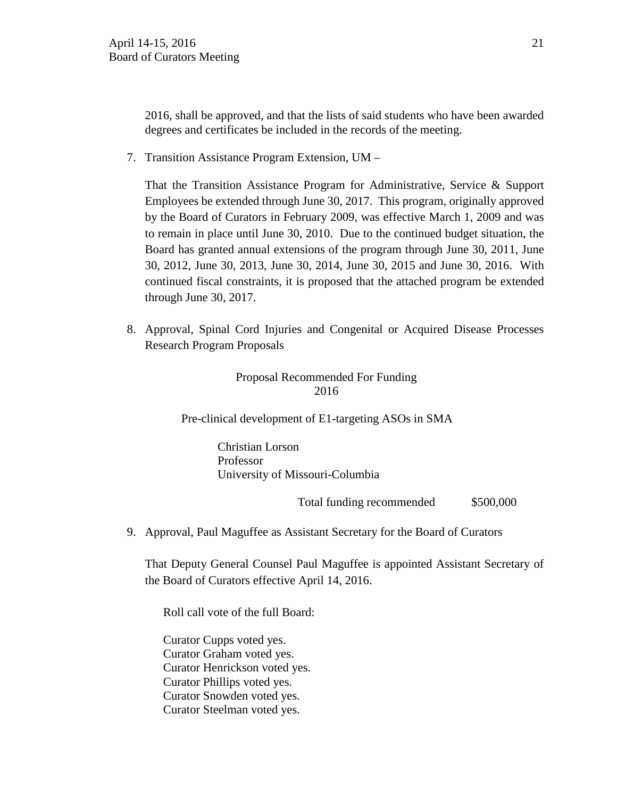2016, shall be approved, and that the lists of said students who have been awarded degrees and certificates be included in the records of the meeting.

7. Transition Assistance Program Extension, UM –

That the Transition Assistance Program for Administrative, Service & Support Employees be extended through June 30, 2017. This program, originally approved by the Board of Curators in February 2009, was effective March 1, 2009 and was to remain in place until June 30, 2010. Due to the continued budget situation, the Board has granted annual extensions of the program through June 30, 2011, June 30, 2012, June 30, 2013, June 30, 2014, June 30, 2015 and June 30, 2016. With continued fiscal constraints, it is proposed that the attached program be extended through June 30, 2017.

8. Approval, Spinal Cord Injuries and Congenital or Acquired Disease Processes Research Program Proposals

# Proposal Recommended For Funding 2016

Pre-clinical development of E1-targeting ASOs in SMA

 Christian Lorson Professor University of Missouri-Columbia

Total funding recommended \$500,000

9. Approval, Paul Maguffee as Assistant Secretary for the Board of Curators

That Deputy General Counsel Paul Maguffee is appointed Assistant Secretary of the Board of Curators effective April 14, 2016.

Roll call vote of the full Board:

Curator Cupps voted yes. Curator Graham voted yes. Curator Henrickson voted yes. Curator Phillips voted yes. Curator Snowden voted yes. Curator Steelman voted yes.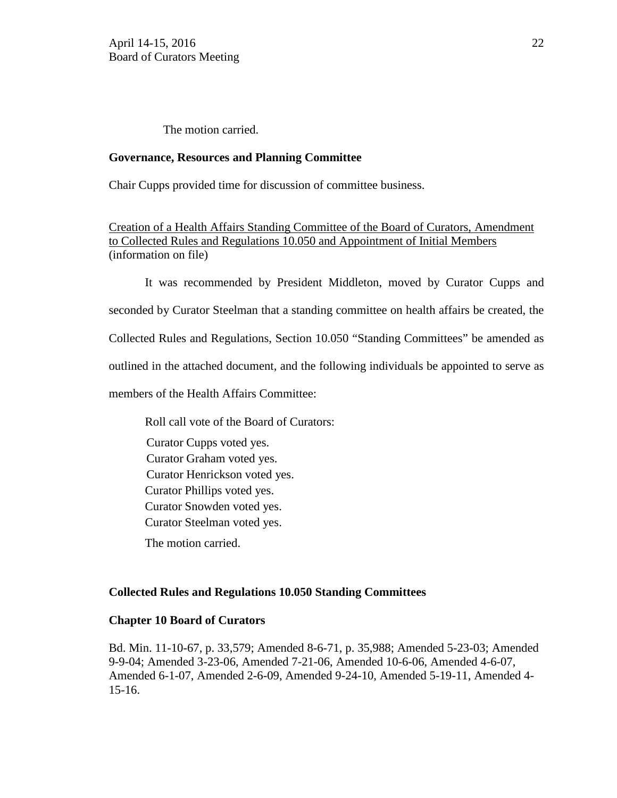#### The motion carried.

#### **Governance, Resources and Planning Committee**

Chair Cupps provided time for discussion of committee business.

Creation of a Health Affairs Standing Committee of the Board of Curators, Amendment to Collected Rules and Regulations 10.050 and Appointment of Initial Members (information on file)

It was recommended by President Middleton, moved by Curator Cupps and seconded by Curator Steelman that a standing committee on health affairs be created, the Collected Rules and Regulations, Section 10.050 "Standing Committees" be amended as outlined in the attached document, and the following individuals be appointed to serve as members of the Health Affairs Committee:

Roll call vote of the Board of Curators:

Curator Cupps voted yes. Curator Graham voted yes. Curator Henrickson voted yes. Curator Phillips voted yes. Curator Snowden voted yes. Curator Steelman voted yes. The motion carried.

# **Collected Rules and Regulations 10.050 Standing Committees**

#### **Chapter 10 Board of Curators**

Bd. Min. 11-10-67, p. 33,579; Amended 8-6-71, p. 35,988; Amended 5-23-03; Amended 9-9-04; Amended 3-23-06, Amended 7-21-06, Amended 10-6-06, Amended 4-6-07, Amended 6-1-07, Amended 2-6-09, Amended 9-24-10, Amended 5-19-11, Amended 4- 15-16.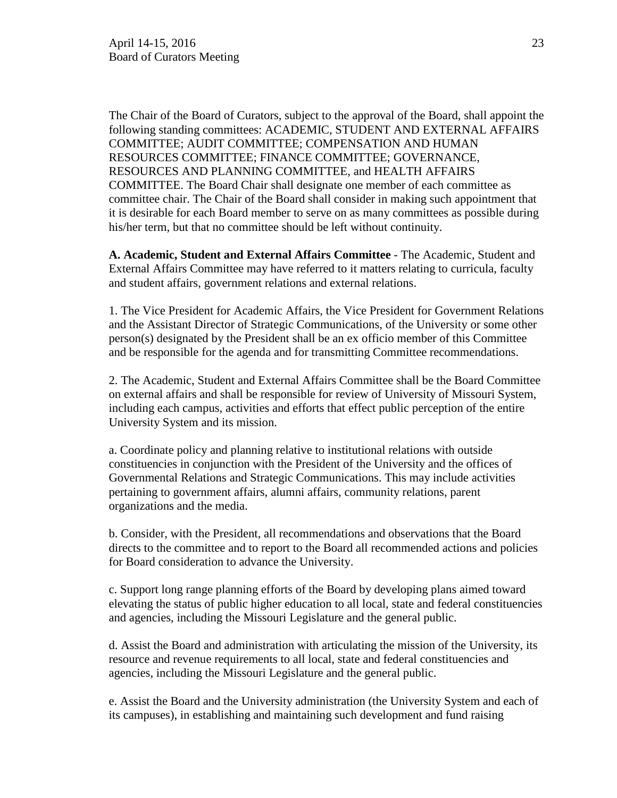The Chair of the Board of Curators, subject to the approval of the Board, shall appoint the following standing committees: ACADEMIC, STUDENT AND EXTERNAL AFFAIRS COMMITTEE; AUDIT COMMITTEE; COMPENSATION AND HUMAN RESOURCES COMMITTEE; FINANCE COMMITTEE; GOVERNANCE, RESOURCES AND PLANNING COMMITTEE, and HEALTH AFFAIRS COMMITTEE. The Board Chair shall designate one member of each committee as committee chair. The Chair of the Board shall consider in making such appointment that it is desirable for each Board member to serve on as many committees as possible during his/her term, but that no committee should be left without continuity.

**A. Academic, Student and External Affairs Committee** - The Academic, Student and External Affairs Committee may have referred to it matters relating to curricula, faculty and student affairs, government relations and external relations.

1. The Vice President for Academic Affairs, the Vice President for Government Relations and the Assistant Director of Strategic Communications, of the University or some other person(s) designated by the President shall be an ex officio member of this Committee and be responsible for the agenda and for transmitting Committee recommendations.

2. The Academic, Student and External Affairs Committee shall be the Board Committee on external affairs and shall be responsible for review of University of Missouri System, including each campus, activities and efforts that effect public perception of the entire University System and its mission.

a. Coordinate policy and planning relative to institutional relations with outside constituencies in conjunction with the President of the University and the offices of Governmental Relations and Strategic Communications. This may include activities pertaining to government affairs, alumni affairs, community relations, parent organizations and the media.

b. Consider, with the President, all recommendations and observations that the Board directs to the committee and to report to the Board all recommended actions and policies for Board consideration to advance the University.

c. Support long range planning efforts of the Board by developing plans aimed toward elevating the status of public higher education to all local, state and federal constituencies and agencies, including the Missouri Legislature and the general public.

d. Assist the Board and administration with articulating the mission of the University, its resource and revenue requirements to all local, state and federal constituencies and agencies, including the Missouri Legislature and the general public.

e. Assist the Board and the University administration (the University System and each of its campuses), in establishing and maintaining such development and fund raising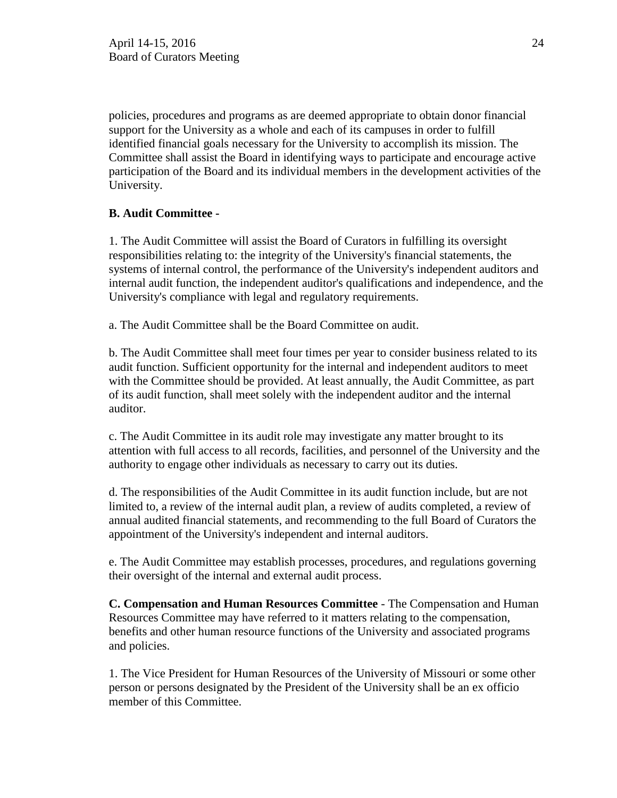policies, procedures and programs as are deemed appropriate to obtain donor financial support for the University as a whole and each of its campuses in order to fulfill identified financial goals necessary for the University to accomplish its mission. The Committee shall assist the Board in identifying ways to participate and encourage active participation of the Board and its individual members in the development activities of the University.

# **B. Audit Committee -**

1. The Audit Committee will assist the Board of Curators in fulfilling its oversight responsibilities relating to: the integrity of the University's financial statements, the systems of internal control, the performance of the University's independent auditors and internal audit function, the independent auditor's qualifications and independence, and the University's compliance with legal and regulatory requirements.

a. The Audit Committee shall be the Board Committee on audit.

b. The Audit Committee shall meet four times per year to consider business related to its audit function. Sufficient opportunity for the internal and independent auditors to meet with the Committee should be provided. At least annually, the Audit Committee, as part of its audit function, shall meet solely with the independent auditor and the internal auditor.

c. The Audit Committee in its audit role may investigate any matter brought to its attention with full access to all records, facilities, and personnel of the University and the authority to engage other individuals as necessary to carry out its duties.

d. The responsibilities of the Audit Committee in its audit function include, but are not limited to, a review of the internal audit plan, a review of audits completed, a review of annual audited financial statements, and recommending to the full Board of Curators the appointment of the University's independent and internal auditors.

e. The Audit Committee may establish processes, procedures, and regulations governing their oversight of the internal and external audit process.

**C. Compensation and Human Resources Committee** - The Compensation and Human Resources Committee may have referred to it matters relating to the compensation, benefits and other human resource functions of the University and associated programs and policies.

1. The Vice President for Human Resources of the University of Missouri or some other person or persons designated by the President of the University shall be an ex officio member of this Committee.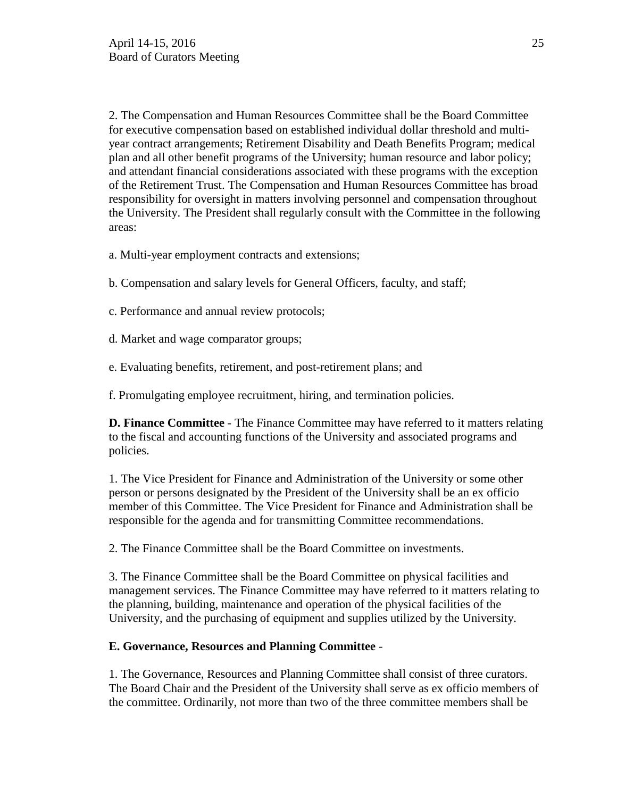2. The Compensation and Human Resources Committee shall be the Board Committee for executive compensation based on established individual dollar threshold and multiyear contract arrangements; Retirement Disability and Death Benefits Program; medical plan and all other benefit programs of the University; human resource and labor policy; and attendant financial considerations associated with these programs with the exception of the Retirement Trust. The Compensation and Human Resources Committee has broad responsibility for oversight in matters involving personnel and compensation throughout the University. The President shall regularly consult with the Committee in the following areas:

a. Multi-year employment contracts and extensions;

b. Compensation and salary levels for General Officers, faculty, and staff;

c. Performance and annual review protocols;

d. Market and wage comparator groups;

e. Evaluating benefits, retirement, and post-retirement plans; and

f. Promulgating employee recruitment, hiring, and termination policies.

**D. Finance Committee** - The Finance Committee may have referred to it matters relating to the fiscal and accounting functions of the University and associated programs and policies.

1. The Vice President for Finance and Administration of the University or some other person or persons designated by the President of the University shall be an ex officio member of this Committee. The Vice President for Finance and Administration shall be responsible for the agenda and for transmitting Committee recommendations.

2. The Finance Committee shall be the Board Committee on investments.

3. The Finance Committee shall be the Board Committee on physical facilities and management services. The Finance Committee may have referred to it matters relating to the planning, building, maintenance and operation of the physical facilities of the University, and the purchasing of equipment and supplies utilized by the University.

# **E. Governance, Resources and Planning Committee** -

1. The Governance, Resources and Planning Committee shall consist of three curators. The Board Chair and the President of the University shall serve as ex officio members of the committee. Ordinarily, not more than two of the three committee members shall be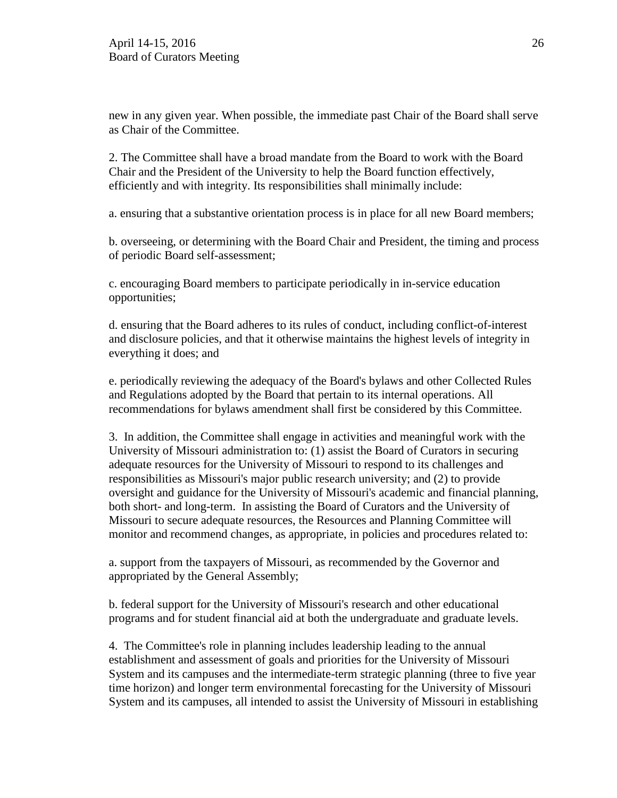new in any given year. When possible, the immediate past Chair of the Board shall serve as Chair of the Committee.

2. The Committee shall have a broad mandate from the Board to work with the Board Chair and the President of the University to help the Board function effectively, efficiently and with integrity. Its responsibilities shall minimally include:

a. ensuring that a substantive orientation process is in place for all new Board members;

b. overseeing, or determining with the Board Chair and President, the timing and process of periodic Board self-assessment;

c. encouraging Board members to participate periodically in in-service education opportunities;

d. ensuring that the Board adheres to its rules of conduct, including conflict-of-interest and disclosure policies, and that it otherwise maintains the highest levels of integrity in everything it does; and

e. periodically reviewing the adequacy of the Board's bylaws and other Collected Rules and Regulations adopted by the Board that pertain to its internal operations. All recommendations for bylaws amendment shall first be considered by this Committee.

3. In addition, the Committee shall engage in activities and meaningful work with the University of Missouri administration to: (1) assist the Board of Curators in securing adequate resources for the University of Missouri to respond to its challenges and responsibilities as Missouri's major public research university; and (2) to provide oversight and guidance for the University of Missouri's academic and financial planning, both short- and long-term. In assisting the Board of Curators and the University of Missouri to secure adequate resources, the Resources and Planning Committee will monitor and recommend changes, as appropriate, in policies and procedures related to:

a. support from the taxpayers of Missouri, as recommended by the Governor and appropriated by the General Assembly;

b. federal support for the University of Missouri's research and other educational programs and for student financial aid at both the undergraduate and graduate levels.

4. The Committee's role in planning includes leadership leading to the annual establishment and assessment of goals and priorities for the University of Missouri System and its campuses and the intermediate-term strategic planning (three to five year time horizon) and longer term environmental forecasting for the University of Missouri System and its campuses, all intended to assist the University of Missouri in establishing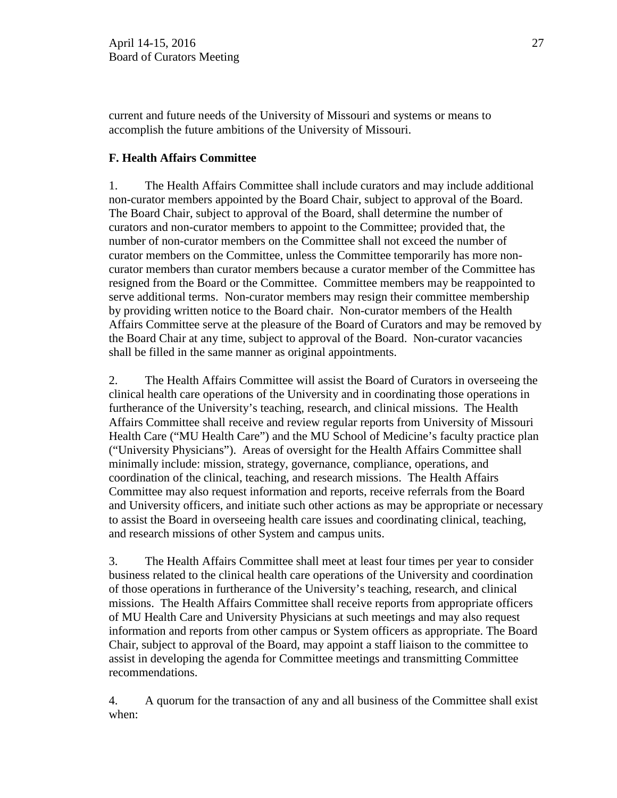current and future needs of the University of Missouri and systems or means to accomplish the future ambitions of the University of Missouri.

# **F. Health Affairs Committee**

1. The Health Affairs Committee shall include curators and may include additional non-curator members appointed by the Board Chair, subject to approval of the Board. The Board Chair, subject to approval of the Board, shall determine the number of curators and non-curator members to appoint to the Committee; provided that, the number of non-curator members on the Committee shall not exceed the number of curator members on the Committee, unless the Committee temporarily has more noncurator members than curator members because a curator member of the Committee has resigned from the Board or the Committee. Committee members may be reappointed to serve additional terms. Non-curator members may resign their committee membership by providing written notice to the Board chair. Non-curator members of the Health Affairs Committee serve at the pleasure of the Board of Curators and may be removed by the Board Chair at any time, subject to approval of the Board. Non-curator vacancies shall be filled in the same manner as original appointments.

2. The Health Affairs Committee will assist the Board of Curators in overseeing the clinical health care operations of the University and in coordinating those operations in furtherance of the University's teaching, research, and clinical missions. The Health Affairs Committee shall receive and review regular reports from University of Missouri Health Care ("MU Health Care") and the MU School of Medicine's faculty practice plan ("University Physicians"). Areas of oversight for the Health Affairs Committee shall minimally include: mission, strategy, governance, compliance, operations, and coordination of the clinical, teaching, and research missions. The Health Affairs Committee may also request information and reports, receive referrals from the Board and University officers, and initiate such other actions as may be appropriate or necessary to assist the Board in overseeing health care issues and coordinating clinical, teaching, and research missions of other System and campus units.

3. The Health Affairs Committee shall meet at least four times per year to consider business related to the clinical health care operations of the University and coordination of those operations in furtherance of the University's teaching, research, and clinical missions. The Health Affairs Committee shall receive reports from appropriate officers of MU Health Care and University Physicians at such meetings and may also request information and reports from other campus or System officers as appropriate. The Board Chair, subject to approval of the Board, may appoint a staff liaison to the committee to assist in developing the agenda for Committee meetings and transmitting Committee recommendations.

4. A quorum for the transaction of any and all business of the Committee shall exist when: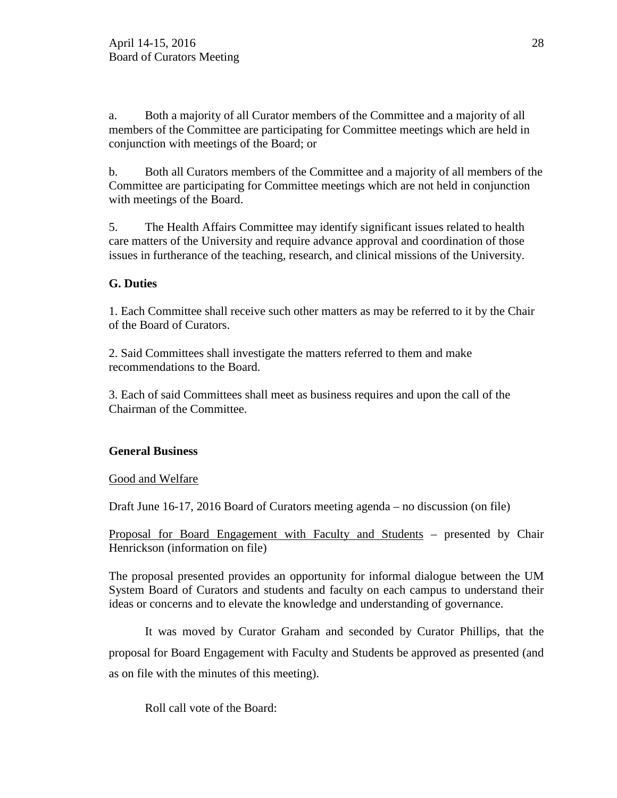a. Both a majority of all Curator members of the Committee and a majority of all members of the Committee are participating for Committee meetings which are held in conjunction with meetings of the Board; or

b. Both all Curators members of the Committee and a majority of all members of the Committee are participating for Committee meetings which are not held in conjunction with meetings of the Board.

5. The Health Affairs Committee may identify significant issues related to health care matters of the University and require advance approval and coordination of those issues in furtherance of the teaching, research, and clinical missions of the University.

# **G. Duties**

1. Each Committee shall receive such other matters as may be referred to it by the Chair of the Board of Curators.

2. Said Committees shall investigate the matters referred to them and make recommendations to the Board.

3. Each of said Committees shall meet as business requires and upon the call of the Chairman of the Committee.

# **General Business**

# Good and Welfare

Draft June 16-17, 2016 Board of Curators meeting agenda – no discussion (on file)

Proposal for Board Engagement with Faculty and Students – presented by Chair Henrickson (information on file)

The proposal presented provides an opportunity for informal dialogue between the UM System Board of Curators and students and faculty on each campus to understand their ideas or concerns and to elevate the knowledge and understanding of governance.

It was moved by Curator Graham and seconded by Curator Phillips, that the proposal for Board Engagement with Faculty and Students be approved as presented (and as on file with the minutes of this meeting).

Roll call vote of the Board: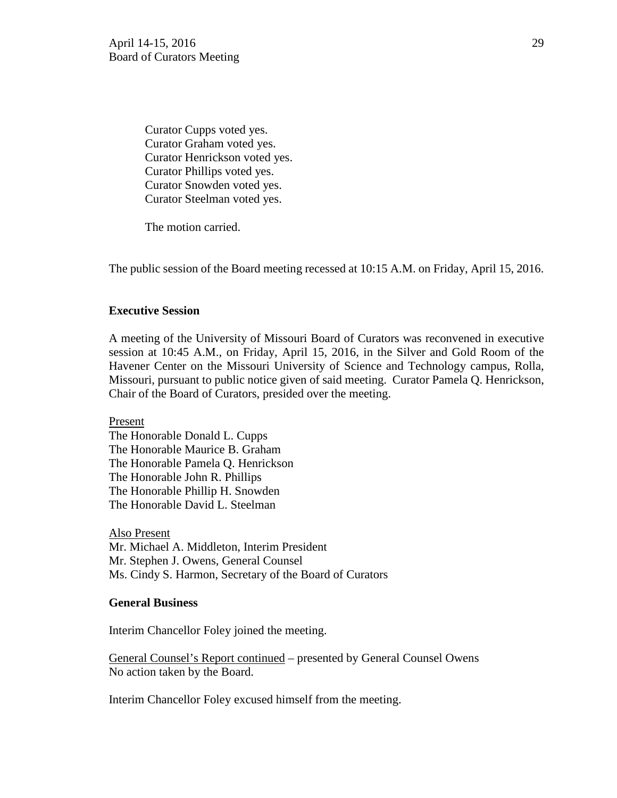Curator Cupps voted yes. Curator Graham voted yes. Curator Henrickson voted yes. Curator Phillips voted yes. Curator Snowden voted yes. Curator Steelman voted yes.

The motion carried.

The public session of the Board meeting recessed at 10:15 A.M. on Friday, April 15, 2016.

# **Executive Session**

A meeting of the University of Missouri Board of Curators was reconvened in executive session at 10:45 A.M., on Friday, April 15, 2016, in the Silver and Gold Room of the Havener Center on the Missouri University of Science and Technology campus, Rolla, Missouri, pursuant to public notice given of said meeting. Curator Pamela Q. Henrickson, Chair of the Board of Curators, presided over the meeting.

Present

The Honorable Donald L. Cupps The Honorable Maurice B. Graham The Honorable Pamela Q. Henrickson The Honorable John R. Phillips The Honorable Phillip H. Snowden The Honorable David L. Steelman

Also Present Mr. Michael A. Middleton, Interim President Mr. Stephen J. Owens, General Counsel Ms. Cindy S. Harmon, Secretary of the Board of Curators

#### **General Business**

Interim Chancellor Foley joined the meeting.

General Counsel's Report continued – presented by General Counsel Owens No action taken by the Board.

Interim Chancellor Foley excused himself from the meeting.